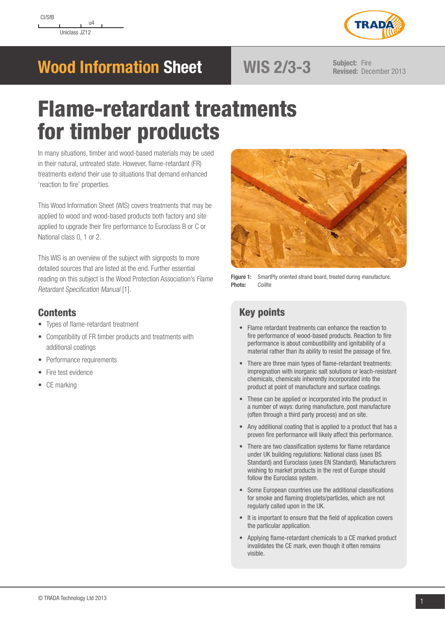Uniclass JZ12

u4



## **Wood Information Sheet WIS 2/3-3**

**Subject:** Fire **Revised:** December 2013

# Flame-retardant treatments for timber products

In many situations, timber and wood-based materials may be used in their natural, untreated state. However, flame-retardant (FR) treatments extend their use to situations that demand enhanced 'reaction to fire' properties.

This Wood Information Sheet (WIS) covers treatments that may be applied to wood and wood-based products both factory and site applied to upgrade their fire performance to Euroclass B or C or National class 0, 1 or 2.

This WIS is an overview of the subject with signposts to more detailed sources that are listed at the end. Further essential reading on this subject is the Wood Protection Association's Flame Retardant Specification Manual [1].

## **Contents**

- Types of flame-retardant treatment
- Compatibility of FR timber products and treatments with additional coatings
- Performance requirements
- Fire test evidence
- CE marking



**Figure 1:** SmartPly oriented strand board, treated during manufacture. **Photo:** Coillte

## Key points

- Flame retardant treatments can enhance the reaction to fire performance of wood-based products. Reaction to fire performance is about combustibility and ignitability of a material rather than its ability to resist the passage of fire.
- There are three main types of flame-retardant treatments: impregnation with inorganic salt solutions or leach-resistant chemicals, chemicals inherently incorporated into the product at point of manufacture and surface coatings.
- These can be applied or incorporated into the product in a number of ways: during manufacture, post manufacture (often through a third party process) and on site.
- Any additional coating that is applied to a product that has a proven fire performance will likely affect this performance.
- There are two classification systems for flame retardance under UK building regulations: National class (uses BS Standard) and Euroclass (uses EN Standard). Manufacturers wishing to market products in the rest of Europe should follow the Euroclass system.
- Some European countries use the additional classifications for smoke and flaming droplets/particles, which are not regularly called upon in the UK.
- It is important to ensure that the field of application covers the particular application.
- Applying flame-retardant chemicals to a CE marked product invalidates the CE mark, even though it often remains visible.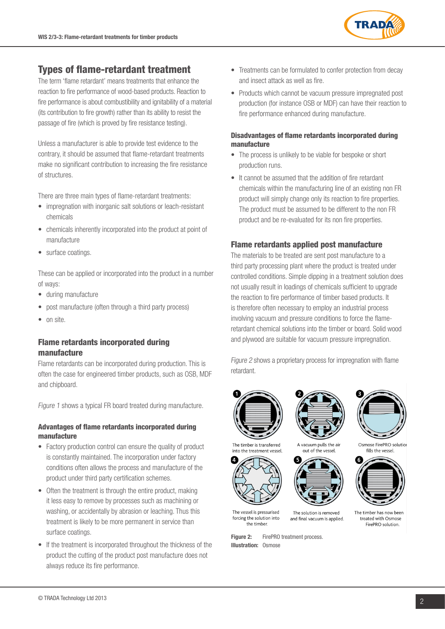

## Types of flame-retardant treatment

The term 'flame retardant' means treatments that enhance the reaction to fire performance of wood-based products. Reaction to fire performance is about combustibility and ignitability of a material (its contribution to fire growth) rather than its ability to resist the passage of fire (which is proved by fire resistance testing).

Unless a manufacturer is able to provide test evidence to the contrary, it should be assumed that flame-retardant treatments make no significant contribution to increasing the fire resistance of structures.

There are three main types of flame-retardant treatments:

- impregnation with inorganic salt solutions or leach-resistant chemicals
- chemicals inherently incorporated into the product at point of manufacture
- surface coatings.

These can be applied or incorporated into the product in a number of ways:

- during manufacture
- post manufacture (often through a third party process)
- on site.

### Flame retardants incorporated during manufacture

Flame retardants can be incorporated during production. This is often the case for engineered timber products, such as OSB, MDF and chipboard.

Figure 1 shows a typical FR board treated during manufacture.

#### Advantages of flame retardants incorporated during manufacture

- Factory production control can ensure the quality of product is constantly maintained. The incorporation under factory conditions often allows the process and manufacture of the product under third party certification schemes.
- Often the treatment is through the entire product, making it less easy to remove by processes such as machining or washing, or accidentally by abrasion or leaching. Thus this treatment is likely to be more permanent in service than surface coatings.
- If the treatment is incorporated throughout the thickness of the product the cutting of the product post manufacture does not always reduce its fire performance.
- Treatments can be formulated to confer protection from decay and insect attack as well as fire.
- Products which cannot be vacuum pressure impregnated post production (for instance OSB or MDF) can have their reaction to fire performance enhanced during manufacture.

### Disadvantages of flame retardants incorporated during manufacture

- The process is unlikely to be viable for bespoke or short production runs.
- It cannot be assumed that the addition of fire retardant chemicals within the manufacturing line of an existing non FR product will simply change only its reaction to fire properties. The product must be assumed to be different to the non FR product and be re-evaluated for its non fire properties.

## Flame retardants applied post manufacture

The materials to be treated are sent post manufacture to a third party processing plant where the product is treated under controlled conditions. Simple dipping in a treatment solution does not usually result in loadings of chemicals sufficient to upgrade the reaction to fire performance of timber based products. It is therefore often necessary to employ an industrial process involving vacuum and pressure conditions to force the flameretardant chemical solutions into the timber or board. Solid wood and plywood are suitable for vacuum pressure impregnation.

Figure 2 shows a proprietary process for impregnation with flame retardant.





The solution is removed

and final vacuum is applied.



Osmose FirePRO solutior fills the vessel.



The timber has now been treated with Osmose FirePRO solution.

The vessel is pressurised forcing the solution into the timber

**Figure 2:** FirePRO treatment process. **Illustration:** Osmose

The timber is transferred A vacuum pulls the air into the treatment vessel out of the vessel

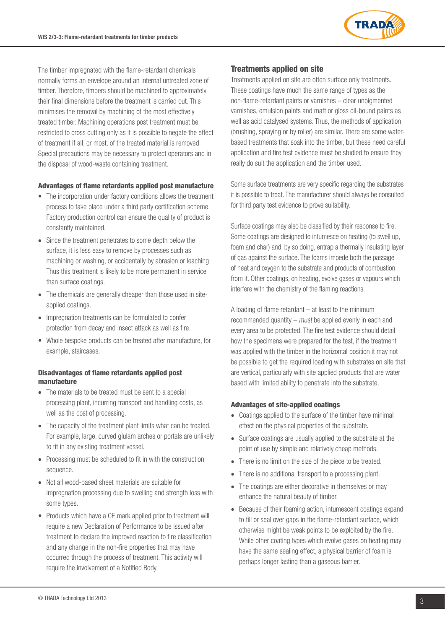

The timber impregnated with the flame-retardant chemicals normally forms an envelope around an internal untreated zone of timber. Therefore, timbers should be machined to approximately their final dimensions before the treatment is carried out. This minimises the removal by machining of the most effectively treated timber. Machining operations post treatment must be restricted to cross cutting only as it is possible to negate the effect of treatment if all, or most, of the treated material is removed. Special precautions may be necessary to protect operators and in the disposal of wood-waste containing treatment.

#### Advantages of flame retardants applied post manufacture

- The incorporation under factory conditions allows the treatment process to take place under a third party certification scheme. Factory production control can ensure the quality of product is constantly maintained.
- Since the treatment penetrates to some depth below the surface, it is less easy to remove by processes such as machining or washing, or accidentally by abrasion or leaching. Thus this treatment is likely to be more permanent in service than surface coatings.
- The chemicals are generally cheaper than those used in siteapplied coatings.
- Impregnation treatments can be formulated to confer protection from decay and insect attack as well as fire.
- Whole bespoke products can be treated after manufacture, for example, staircases.

#### Disadvantages of flame retardants applied post manufacture

- The materials to be treated must be sent to a special processing plant, incurring transport and handling costs, as well as the cost of processing.
- The capacity of the treatment plant limits what can be treated. For example, large, curved glulam arches or portals are unlikely to fit in any existing treatment vessel.
- Processing must be scheduled to fit in with the construction sequence.
- Not all wood-based sheet materials are suitable for impregnation processing due to swelling and strength loss with some types.
- Products which have a CE mark applied prior to treatment will require a new Declaration of Performance to be issued after treatment to declare the improved reaction to fire classification and any change in the non-fire properties that may have occurred through the process of treatment. This activity will require the involvement of a Notified Body.

#### Treatments applied on site

Treatments applied on site are often surface only treatments. These coatings have much the same range of types as the non-flame-retardant paints or varnishes – clear unpigmented varnishes, emulsion paints and matt or gloss oil-bound paints as well as acid catalysed systems. Thus, the methods of application (brushing, spraying or by roller) are similar. There are some waterbased treatments that soak into the timber, but these need careful application and fire test evidence must be studied to ensure they really do suit the application and the timber used.

Some surface treatments are very specific regarding the substrates it is possible to treat. The manufacturer should always be consulted for third party test evidence to prove suitability.

Surface coatings may also be classified by their response to fire. Some coatings are designed to intumesce on heating (to swell up, foam and char) and, by so doing, entrap a thermally insulating layer of gas against the surface. The foams impede both the passage of heat and oxygen to the substrate and products of combustion from it. Other coatings, on heating, evolve gases or vapours which interfere with the chemistry of the flaming reactions.

A loading of flame retardant – at least to the minimum recommended quantity – must be applied evenly in each and every area to be protected. The fire test evidence should detail how the specimens were prepared for the test, if the treatment was applied with the timber in the horizontal position it may not be possible to get the required loading with substrates on site that are vertical, particularly with site applied products that are water based with limited ability to penetrate into the substrate.

#### Advantages of site-applied coatings

- Coatings applied to the surface of the timber have minimal effect on the physical properties of the substrate.
- Surface coatings are usually applied to the substrate at the point of use by simple and relatively cheap methods.
- There is no limit on the size of the piece to be treated.
- There is no additional transport to a processing plant.
- The coatings are either decorative in themselves or may enhance the natural beauty of timber.
- Because of their foaming action, intumescent coatings expand to fill or seal over gaps in the flame-retardant surface, which otherwise might be weak points to be exploited by the fire. While other coating types which evolve gases on heating may have the same sealing effect, a physical barrier of foam is perhaps longer lasting than a gaseous barrier.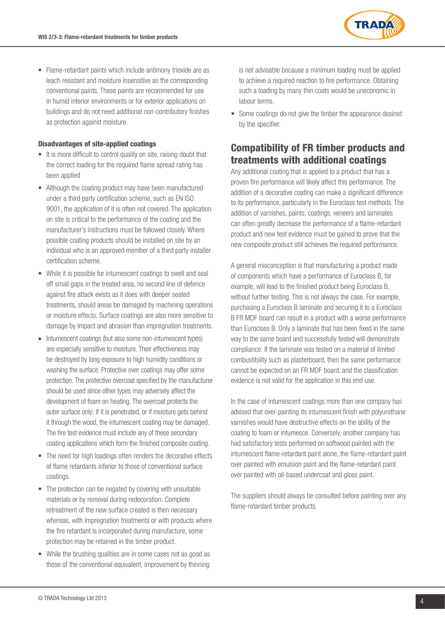

• Flame-retardant paints which include antimony trioxide are as leach resistant and moisture insensitive as the corresponding conventional paints. These paints are recommended for use in humid interior environments or for exterior applications on buildings and do not need additional non-contributory finishes as protection against moisture.

#### Disadvantages of site-applied coatings

- It is more difficult to control quality on site, raising doubt that the correct loading for the required flame spread rating has been applied
- Although the coating product may have been manufactured under a third party certification scheme, such as EN ISO 9001, the application of it is often not covered. The application on site is critical to the performance of the coating and the manufacturer's instructions must be followed closely. Where possible coating products should be installed on site by an individual who is an approved member of a third party installer certification scheme.
- While it is possible for intumescent coatings to swell and seal off small gaps in the treated area, no second line of defence against fire attack exists as it does with deeper seated treatments, should areas be damaged by machining operations or moisture effects. Surface coatings are also more sensitive to damage by impact and abrasion than impregnation treatments.
- Intumescent coatings (but also some non-intumescent types) are especially sensitive to moisture. Their effectiveness may be destroyed by long exposure to high humidity conditions or washing the surface. Protective over coatings may offer some protection. The protective overcoat specified by the manufacturer should be used since other types may adversely affect the development of foam on heating. The overcoat protects the outer surface only; if it is penetrated, or if moisture gets behind it through the wood, the intumescent coating may be damaged. The fire test evidence must include any of these secondary coating applications which form the finished composite coating.
- The need for high loadings often renders the decorative effects of flame retardants inferior to those of conventional surface coatings.
- The protection can be negated by covering with unsuitable materials or by removal during redecoration. Complete retreatment of the new surface created is then necessary whereas, with impregnation treatments or with products where the fire retardant is incorporated during manufacture, some protection may be retained in the timber product.
- While the brushing qualities are in some cases not as good as those of the conventional equivalent, improvement by thinning

is not advisable because a minimum loading must be applied to achieve a required reaction to fire performance. Obtaining such a loading by many thin coats would be uneconomic in labour terms.

• Some coatings do not give the timber the appearance desired by the specifier.

## Compatibility of FR timber products and treatments with additional coatings

Any additional coating that is applied to a product that has a proven fire performance will likely affect this performance. The addition of a decorative coating can make a significant difference to its performance, particularly in the Euroclass test methods. The addition of varnishes, paints, coatings, veneers and laminates can often greatly decrease the performance of a flame-retardant product and new test evidence must be gained to prove that the new composite product still achieves the required performance.

A general misconception is that manufacturing a product made of components which have a performance of Euroclass B, for example, will lead to the finished product being Euroclass B, without further testing. This is not always the case. For example, purchasing a Euroclass B laminate and securing it to a Euroclass B FR MDF board can result in a product with a worse performance than Euroclass B. Only a laminate that has been fixed in the same way to the same board and successfully tested will demonstrate compliance. If the laminate was tested on a material of limited combustibility such as plasterboard, then the same performance cannot be expected on an FR MDF board, and the classification evidence is not valid for the application in this end use.

In the case of intumescent coatings more than one company has advised that over-painting its intumescent finish with polyurethane varnishes would have destructive effects on the ability of the coating to foam or intumesce. Conversely, another company has had satisfactory tests performed on softwood painted with the intumescent flame-retardant paint alone, the flame-retardant paint over painted with emulsion paint and the flame-retardant paint over painted with oil-based undercoat and gloss paint.

The suppliers should always be consulted before painting over any flame-retardant timber products.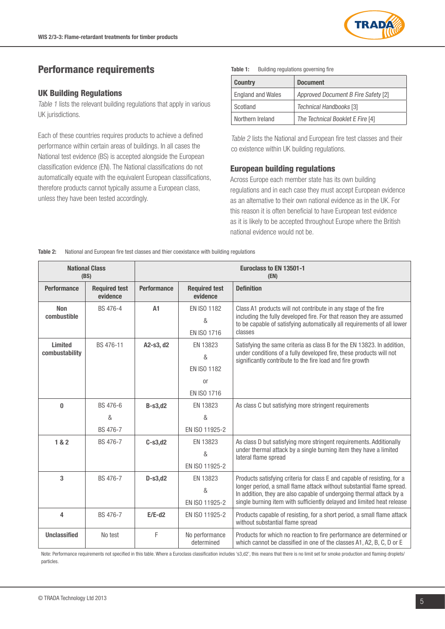

## Performance requirements

#### UK Building Regulations

Table 1 lists the relevant building regulations that apply in various UK jurisdictions.

Each of these countries requires products to achieve a defined performance within certain areas of buildings. In all cases the National test evidence (BS) is accepted alongside the European classification evidence (EN). The National classifications do not automatically equate with the equivalent European classifications, therefore products cannot typically assume a European class, unless they have been tested accordingly.

#### **Table 1:** Building regulations governing fire

| <b>Country</b>           | <b>Document</b>                     |  |
|--------------------------|-------------------------------------|--|
| <b>England and Wales</b> | Approved Document B Fire Safety [2] |  |
| Scotland                 | Technical Handbooks [3]             |  |
| Northern Ireland         | The Technical Booklet E Fire [4]    |  |

Table 2 lists the National and European fire test classes and their co existence within UK building regulations.

#### European building regulations

Across Europe each member state has its own building regulations and in each case they must accept European evidence as an alternative to their own national evidence as in the UK. For this reason it is often beneficial to have European test evidence as it is likely to be accepted throughout Europe where the British national evidence would not be.

**Table 2:** National and European fire test classes and thier coexistance with building regulations

| <b>National Class</b><br>(BS)    |                                  | Euroclass to EN 13501-1<br>(EN) |                                                                            |                                                                                                                                                                                                                                                                                                     |  |
|----------------------------------|----------------------------------|---------------------------------|----------------------------------------------------------------------------|-----------------------------------------------------------------------------------------------------------------------------------------------------------------------------------------------------------------------------------------------------------------------------------------------------|--|
| <b>Performance</b>               | <b>Required test</b><br>evidence | <b>Performance</b>              | <b>Required test</b><br>evidence                                           | <b>Definition</b>                                                                                                                                                                                                                                                                                   |  |
| <b>Non</b><br>combustible        | BS 476-4                         | A1                              | <b>EN ISO 1182</b><br>&<br><b>EN ISO 1716</b>                              | Class A1 products will not contribute in any stage of the fire<br>including the fully developed fire. For that reason they are assumed<br>to be capable of satisfying automatically all requirements of all lower<br>classes                                                                        |  |
| <b>Limited</b><br>combustability | BS 476-11                        | A2-s3, d2                       | EN 13823<br>&<br><b>EN ISO 1182</b><br><sub>or</sub><br><b>EN ISO 1716</b> | Satisfying the same criteria as class B for the EN 13823. In addition,<br>under conditions of a fully developed fire, these products will not<br>significantly contribute to the fire load and fire growth                                                                                          |  |
| $\mathbf{0}$                     | BS 476-6<br>&<br>BS 476-7        | $B-s3,d2$                       | EN 13823<br>&<br>EN ISO 11925-2                                            | As class C but satisfying more stringent requirements                                                                                                                                                                                                                                               |  |
| 1&8&2                            | BS 476-7                         | $C-s3, d2$                      | EN 13823<br>&<br>EN ISO 11925-2                                            | As class D but satisfying more stringent requirements. Additionally<br>under thermal attack by a single burning item they have a limited<br>lateral flame spread                                                                                                                                    |  |
| 3                                | BS 476-7                         | $D-s3, d2$                      | EN 13823<br>&<br>EN ISO 11925-2                                            | Products satisfying criteria for class E and capable of resisting, for a<br>longer period, a small flame attack without substantial flame spread.<br>In addition, they are also capable of undergoing thermal attack by a<br>single burning item with sufficiently delayed and limited heat release |  |
| 4                                | BS 476-7                         | $E/E-d2$                        | EN ISO 11925-2                                                             | Products capable of resisting, for a short period, a small flame attack<br>without substantial flame spread                                                                                                                                                                                         |  |
| <b>Unclassified</b>              | No test                          | F                               | No performance<br>determined                                               | Products for which no reaction to fire performance are determined or<br>which cannot be classified in one of the classes A1, A2, B, C, D or E                                                                                                                                                       |  |

Note: Performance requirements not specified in this table. Where a Euroclass classification includes 's3,d2', this means that there is no limit set for smoke production and flaming droplets/ particles.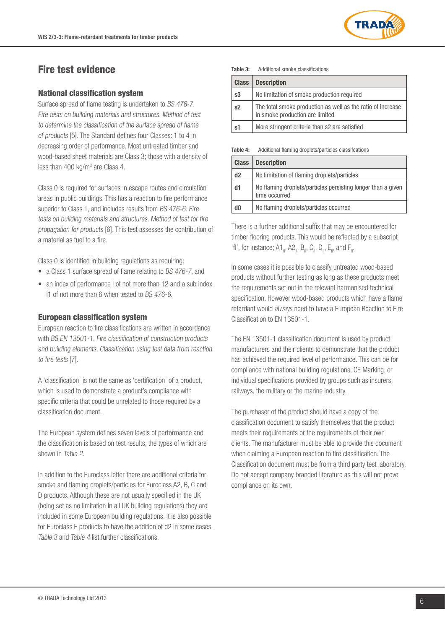

## Fire test evidence

#### National classification system

Surface spread of flame testing is undertaken to BS 476-7. Fire tests on building materials and structures. Method of test to determine the classification of the surface spread of flame of products [5]. The Standard defines four Classes: 1 to 4 in decreasing order of performance. Most untreated timber and wood-based sheet materials are Class 3; those with a density of less than 400 kg/m<sup>3</sup> are Class 4.

Class 0 is required for surfaces in escape routes and circulation areas in public buildings. This has a reaction to fire performance superior to Class 1, and includes results from BS 476-6. Fire tests on building materials and structures. Method of test for fire propagation for products [6]. This test assesses the contribution of a material as fuel to a fire.

Class 0 is identified in building regulations as requiring:

- a Class 1 surface spread of flame relating to BS 476-7, and
- an index of performance I of not more than 12 and a sub index i1 of not more than 6 when tested to BS 476-6.

#### European classification system

European reaction to fire classifications are written in accordance with BS EN 13501-1. Fire classification of construction products and building elements. Classification using test data from reaction to fire tests [7].

A 'classification' is not the same as 'certification' of a product, which is used to demonstrate a product's compliance with specific criteria that could be unrelated to those required by a classification document.

The European system defines seven levels of performance and the classification is based on test results, the types of which are shown in Table 2.

In addition to the Euroclass letter there are additional criteria for smoke and flaming droplets/particles for Euroclass A2, B, C and D products. Although these are not usually specified in the UK (being set as no limitation in all UK building regulations) they are included in some European building regulations. It is also possible for Euroclass E products to have the addition of d2 in some cases. Table 3 and Table 4 list further classifications.

#### **Table 3:** Additional smoke classifications

| <b>Class</b> | <b>Description</b>                                                                             |
|--------------|------------------------------------------------------------------------------------------------|
| s3           | No limitation of smoke production required                                                     |
| s2           | The total smoke production as well as the ratio of increase<br>in smoke production are limited |
| s1           | More stringent criteria than s2 are satisfied                                                  |

**Table 4:** Additional flaming droplets/particles classifcations

| <b>Class</b> | <b>Description</b>                                                            |
|--------------|-------------------------------------------------------------------------------|
| d2           | No limitation of flaming droplets/particles                                   |
| d1           | No flaming droplets/particles persisting longer than a given<br>time occurred |
| dO           | No flaming droplets/particles occurred                                        |

There is a further additional suffix that may be encountered for timber flooring products. This would be reflected by a subscript 'fl', for instance; A1<sub>fl</sub>, A2<sub>fl</sub>, B<sub>fl</sub>, C<sub>fl</sub>, D<sub>fl</sub>, E<sub>fl</sub>, and F<sub>fl</sub>.

In some cases it is possible to classify untreated wood-based products without further testing as long as these products meet the requirements set out in the relevant harmonised technical specification. However wood-based products which have a flame retardant would always need to have a European Reaction to Fire Classification to EN 13501-1.

The EN 13501-1 classification document is used by product manufacturers and their clients to demonstrate that the product has achieved the required level of performance. This can be for compliance with national building regulations, CE Marking, or individual specifications provided by groups such as insurers, railways, the military or the marine industry.

The purchaser of the product should have a copy of the classification document to satisfy themselves that the product meets their requirements or the requirements of their own clients. The manufacturer must be able to provide this document when claiming a European reaction to fire classification. The Classification document must be from a third party test laboratory. Do not accept company branded literature as this will not prove compliance on its own.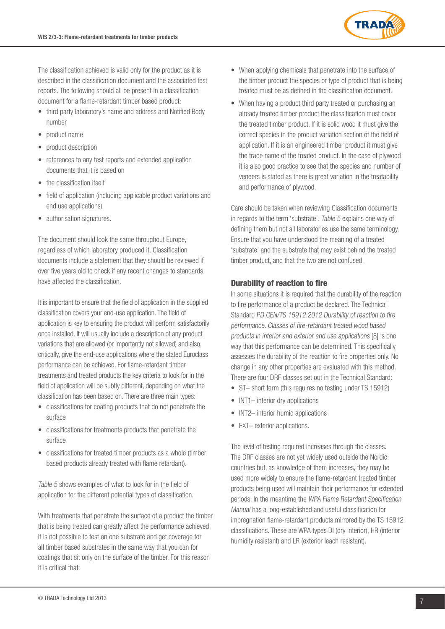

The classification achieved is valid only for the product as it is described in the classification document and the associated test reports. The following should all be present in a classification document for a flame-retardant timber based product:

- third party laboratory's name and address and Notified Body number
- product name
- product description
- references to any test reports and extended application documents that it is based on
- the classification itself
- field of application (including applicable product variations and end use applications)
- authorisation signatures.

The document should look the same throughout Europe, regardless of which laboratory produced it. Classification documents include a statement that they should be reviewed if over five years old to check if any recent changes to standards have affected the classification.

It is important to ensure that the field of application in the supplied classification covers your end-use application. The field of application is key to ensuring the product will perform satisfactorily once installed. It will usually include a description of any product variations that are allowed (or importantly not allowed) and also, critically, give the end-use applications where the stated Euroclass performance can be achieved. For flame-retardant timber treatments and treated products the key criteria to look for in the field of application will be subtly different, depending on what the classification has been based on. There are three main types:

- classifications for coating products that do not penetrate the surface
- classifications for treatments products that penetrate the surface
- classifications for treated timber products as a whole (timber based products already treated with flame retardant).

Table 5 shows examples of what to look for in the field of application for the different potential types of classification.

With treatments that penetrate the surface of a product the timber that is being treated can greatly affect the performance achieved. It is not possible to test on one substrate and get coverage for all timber based substrates in the same way that you can for coatings that sit only on the surface of the timber. For this reason it is critical that:

- When applying chemicals that penetrate into the surface of the timber product the species or type of product that is being treated must be as defined in the classification document.
- When having a product third party treated or purchasing an already treated timber product the classification must cover the treated timber product. If it is solid wood it must give the correct species in the product variation section of the field of application. If it is an engineered timber product it must give the trade name of the treated product. In the case of plywood it is also good practice to see that the species and number of veneers is stated as there is great variation in the treatability and performance of plywood.

Care should be taken when reviewing Classification documents in regards to the term 'substrate'. Table 5 explains one way of defining them but not all laboratories use the same terminology. Ensure that you have understood the meaning of a treated 'substrate' and the substrate that may exist behind the treated timber product, and that the two are not confused.

### Durability of reaction to fire

In some situations it is required that the durability of the reaction to fire performance of a product be declared. The Technical Standard PD CEN/TS 15912:2012 Durability of reaction to fire performance. Classes of fire-retardant treated wood based products in interior and exterior end use applications [8] is one way that this performance can be determined. This specifically assesses the durability of the reaction to fire properties only. No change in any other properties are evaluated with this method. There are four DRF classes set out in the Technical Standard:

- ST– short term (this requires no testing under TS 15912)
- INT1– interior dry applications
- INT2- interior humid applications
- EXT– exterior applications.

The level of testing required increases through the classes. The DRF classes are not yet widely used outside the Nordic countries but, as knowledge of them increases, they may be used more widely to ensure the flame-retardant treated timber products being used will maintain their performance for extended periods. In the meantime the WPA Flame Retardant Specification Manual has a long-established and useful classification for impregnation flame-retardant products mirrored by the TS 15912 classifications. These are WPA types DI (dry interior), HR (interior humidity resistant) and LR (exterior leach resistant).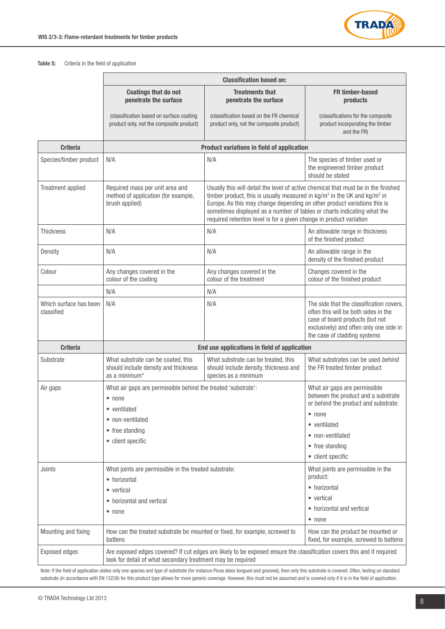#### **Table 5:** Criteria in the field of application

|                                      | <b>Classification based on:</b>                                                                                                                                                       |                                                                                                                                                                                                                                                                                                                                                                                                  |                                                                                                                                                                                                |  |  |  |
|--------------------------------------|---------------------------------------------------------------------------------------------------------------------------------------------------------------------------------------|--------------------------------------------------------------------------------------------------------------------------------------------------------------------------------------------------------------------------------------------------------------------------------------------------------------------------------------------------------------------------------------------------|------------------------------------------------------------------------------------------------------------------------------------------------------------------------------------------------|--|--|--|
|                                      | <b>Coatings that do not</b><br>penetrate the surface                                                                                                                                  | <b>Treatments that</b><br>penetrate the surface                                                                                                                                                                                                                                                                                                                                                  | <b>FR</b> timber-based<br>products                                                                                                                                                             |  |  |  |
|                                      | (classification based on surface coating<br>product only, not the composite product)                                                                                                  | (classification based on the FR chemical<br>product only, not the composite product)                                                                                                                                                                                                                                                                                                             | (classifications for the composite<br>product incorporating the timber<br>and the FR)                                                                                                          |  |  |  |
| <b>Criteria</b>                      |                                                                                                                                                                                       | <b>Product variations in field of application</b>                                                                                                                                                                                                                                                                                                                                                |                                                                                                                                                                                                |  |  |  |
| Species/timber product               | N/A                                                                                                                                                                                   | N/A                                                                                                                                                                                                                                                                                                                                                                                              | The species of timber used or<br>the engineered timber product<br>should be stated                                                                                                             |  |  |  |
| Treatment applied                    | Required mass per unit area and<br>method of application (for example,<br>brush applied)                                                                                              | Usually this will detail the level of active chemical that must be in the finished<br>timber product, this is usually measured in $kg/m3$ in the UK and $kg/m2$ in<br>Europe. As this may change depending on other product variations this is<br>sometimes displayed as a number of tables or charts indicating what the<br>required retention level is for a given change in product variation |                                                                                                                                                                                                |  |  |  |
| <b>Thickness</b>                     | N/A                                                                                                                                                                                   | N/A                                                                                                                                                                                                                                                                                                                                                                                              | An allowable range in thickness<br>of the finished product                                                                                                                                     |  |  |  |
| Density                              | N/A                                                                                                                                                                                   | N/A                                                                                                                                                                                                                                                                                                                                                                                              | An allowable range in the<br>density of the finished product                                                                                                                                   |  |  |  |
| Colour                               | Any changes covered in the<br>colour of the coating                                                                                                                                   | Any changes covered in the<br>colour of the treatment                                                                                                                                                                                                                                                                                                                                            | Changes covered in the<br>colour of the finished product                                                                                                                                       |  |  |  |
|                                      | N/A                                                                                                                                                                                   | N/A                                                                                                                                                                                                                                                                                                                                                                                              |                                                                                                                                                                                                |  |  |  |
| Which surface has been<br>classified | N/A                                                                                                                                                                                   | N/A                                                                                                                                                                                                                                                                                                                                                                                              | The side that the classification covers.<br>often this will be both sides in the<br>case of board products (but not<br>exclusively) and often only one side in<br>the case of cladding systems |  |  |  |
| <b>Criteria</b>                      |                                                                                                                                                                                       | End use applications in field of application                                                                                                                                                                                                                                                                                                                                                     |                                                                                                                                                                                                |  |  |  |
| Substrate                            | What substrate can be coated, this<br>should include density and thickness<br>as a minimum*                                                                                           | What substrate can be treated, this<br>should include density, thickness and<br>species as a minimum                                                                                                                                                                                                                                                                                             | What substrates can be used behind<br>the FR treated timber product                                                                                                                            |  |  |  |
| Air gaps                             | What air gaps are permissible behind the treated 'substrate':                                                                                                                         |                                                                                                                                                                                                                                                                                                                                                                                                  | What air gaps are permissible                                                                                                                                                                  |  |  |  |
|                                      | • none                                                                                                                                                                                |                                                                                                                                                                                                                                                                                                                                                                                                  | between the product and a substrate<br>or behind the product and substrate:                                                                                                                    |  |  |  |
|                                      | ventilated                                                                                                                                                                            |                                                                                                                                                                                                                                                                                                                                                                                                  | $\bullet$ none                                                                                                                                                                                 |  |  |  |
|                                      | • non-ventilated                                                                                                                                                                      |                                                                                                                                                                                                                                                                                                                                                                                                  | • ventilated                                                                                                                                                                                   |  |  |  |
|                                      | • free standing                                                                                                                                                                       |                                                                                                                                                                                                                                                                                                                                                                                                  | • non-ventilated                                                                                                                                                                               |  |  |  |
|                                      | • client specific                                                                                                                                                                     |                                                                                                                                                                                                                                                                                                                                                                                                  | • free standing                                                                                                                                                                                |  |  |  |
|                                      |                                                                                                                                                                                       |                                                                                                                                                                                                                                                                                                                                                                                                  | • client specific                                                                                                                                                                              |  |  |  |
| Joints                               | What joints are permissible in the treated substrate:                                                                                                                                 |                                                                                                                                                                                                                                                                                                                                                                                                  | What joints are permissible in the<br>product:                                                                                                                                                 |  |  |  |
|                                      | • horizontal                                                                                                                                                                          |                                                                                                                                                                                                                                                                                                                                                                                                  | • horizontal                                                                                                                                                                                   |  |  |  |
|                                      | • vertical                                                                                                                                                                            | • vertical                                                                                                                                                                                                                                                                                                                                                                                       |                                                                                                                                                                                                |  |  |  |
|                                      | • horizontal and vertical                                                                                                                                                             | • horizontal and vertical                                                                                                                                                                                                                                                                                                                                                                        |                                                                                                                                                                                                |  |  |  |
|                                      | • none                                                                                                                                                                                | $\bullet$ none                                                                                                                                                                                                                                                                                                                                                                                   |                                                                                                                                                                                                |  |  |  |
| Mounting and fixing                  | How can the treated substrate be mounted or fixed, for example, screwed to<br>battens                                                                                                 | How can the product be mounted or<br>fixed, for example, screwed to battens                                                                                                                                                                                                                                                                                                                      |                                                                                                                                                                                                |  |  |  |
| <b>Exposed edges</b>                 | Are exposed edges covered? If cut edges are likely to be exposed ensure the classification covers this and if required<br>look for detail of what secondary treatment may be required |                                                                                                                                                                                                                                                                                                                                                                                                  |                                                                                                                                                                                                |  |  |  |

Note: If the field of application states only one species and type of substrate (for instance Picea abies tongued and grooved), then only this substrate is covered. Often, testing on standard substrate (in accordance with EN 13238) for this product type allows for more generic coverage. However, this must not be assumed and is covered only if it is in the field of application.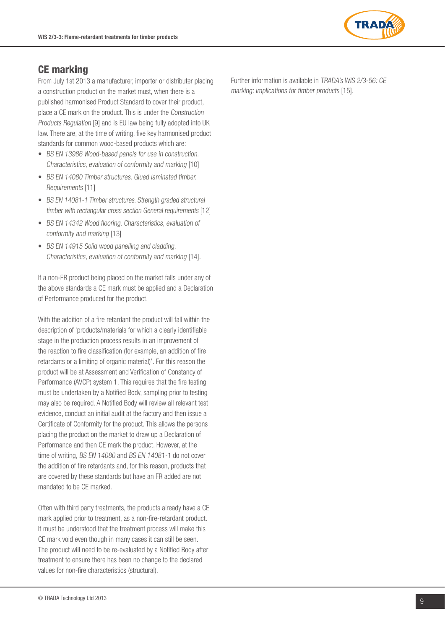

## CE marking

From July 1st 2013 a manufacturer, importer or distributer placing a construction product on the market must, when there is a published harmonised Product Standard to cover their product, place a CE mark on the product. This is under the Construction Products Regulation [9] and is EU law being fully adopted into UK law. There are, at the time of writing, five key harmonised product standards for common wood-based products which are:

- BS EN 13986 Wood-based panels for use in construction. Characteristics, evaluation of conformity and marking [10]
- BS EN 14080 Timber structures. Glued laminated timber. Requirements [11]
- BS EN 14081-1 Timber structures. Strength graded structural timber with rectangular cross section General requirements [12]
- BS EN 14342 Wood flooring. Characteristics, evaluation of conformity and marking [13]
- BS EN 14915 Solid wood panelling and cladding. Characteristics, evaluation of conformity and marking [14].

If a non-FR product being placed on the market falls under any of the above standards a CE mark must be applied and a Declaration of Performance produced for the product.

With the addition of a fire retardant the product will fall within the description of 'products/materials for which a clearly identifiable stage in the production process results in an improvement of the reaction to fire classification (for example, an addition of fire retardants or a limiting of organic material)'. For this reason the product will be at Assessment and Verification of Constancy of Performance (AVCP) system 1. This requires that the fire testing must be undertaken by a Notified Body, sampling prior to testing may also be required. A Notified Body will review all relevant test evidence, conduct an initial audit at the factory and then issue a Certificate of Conformity for the product. This allows the persons placing the product on the market to draw up a Declaration of Performance and then CE mark the product. However, at the time of writing, BS EN 14080 and BS EN 14081-1 do not cover the addition of fire retardants and, for this reason, products that are covered by these standards but have an FR added are not mandated to be CE marked.

Often with third party treatments, the products already have a CE mark applied prior to treatment, as a non-fire-retardant product. It must be understood that the treatment process will make this CE mark void even though in many cases it can still be seen. The product will need to be re-evaluated by a Notified Body after treatment to ensure there has been no change to the declared values for non-fire characteristics (structural).

Further information is available in TRADA's WIS 2/3-56: CE marking: implications for timber products [15].